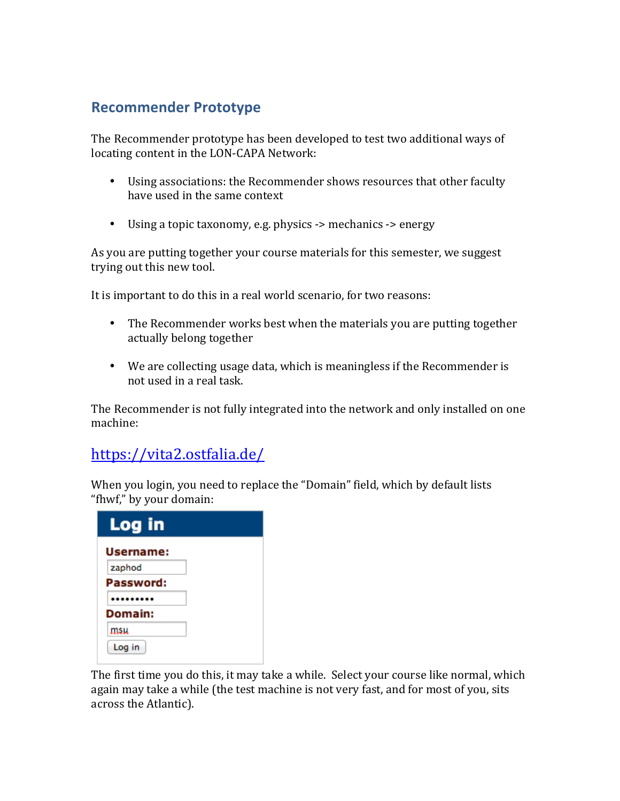## **Recommender Prototype**

The Recommender prototype has been developed to test two additional ways of locating content in the LON-CAPA Network:

- Using associations: the Recommender shows resources that other faculty have used in the same context
- Using a topic taxonomy, e.g. physics -> mechanics -> energy

As you are putting together your course materials for this semester, we suggest trying out this new tool.

It is important to do this in a real world scenario, for two reasons:

- The Recommender works best when the materials you are putting together actually belong together
- We are collecting usage data, which is meaningless if the Recommender is not used in a real task.

The Recommender is not fully integrated into the network and only installed on one machine:

## https://vita2.ostfalia.de/

When you login, you need to replace the "Domain" field, which by default lists "fhwf," by your domain:

| Log in    |  |
|-----------|--|
| Username: |  |
| zaphod    |  |
| Password: |  |
|           |  |
| Domain:   |  |
| msu       |  |
| Log in    |  |

The first time you do this, it may take a while. Select your course like normal, which again may take a while (the test machine is not very fast, and for most of you, sits across the Atlantic).